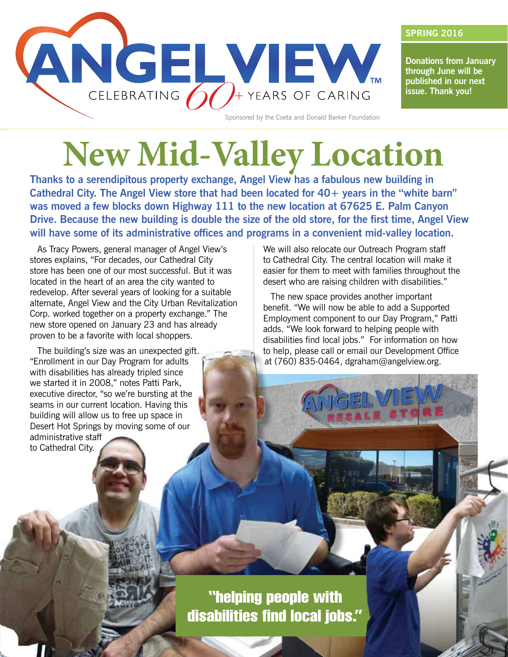

**Donations from January through June will be published in our next issue. Thank you!**

**SPRING 2016**

## **New Mid-Valley Location**

**Thanks to a serendipitous property exchange, Angel View has a fabulous new building in**  Cathedral City. The Angel View store that had been located for 40+ years in the "white barn" **was moved a few blocks down Highway 111 to the new location at 67625 E. Palm Canyon Drive. Because the new building is double the size of the old store, for the first time, Angel View will have some of its administrative offices and programs in a convenient mid-valley location.**

As Tracy Powers, general manager of Angel View's stores explains, "For decades, our Cathedral City store has been one of our most successful. But it was located in the heart of an area the city wanted to redevelop. After several years of looking for a suitable alternate, Angel View and the City Urban Revitalization Corp. worked together on a property exchange." The new store opened on January 23 and has already proven to be a favorite with local shoppers.

The building's size was an unexpected gift. "Enrollment in our Day Program for adults with disabilities has already tripled since we started it in 2008," notes Patti Park, executive director, "so we're bursting at the seams in our current location. Having this building will allow us to free up space in Desert Hot Springs by moving some of our administrative staff to Cathedral City.

We will also relocate our Outreach Program staff to Cathedral City. The central location will make it easier for them to meet with families throughout the desert who are raising children with disabilities."

The new space provides another important benefit. "We will now be able to add a Supported Employment component to our Day Program," Patti adds. "We look forward to helping people with disabilities find local jobs." For information on how to help, please call or email our Development Office at (760) 835-0464, dgraham@angelview.org.

### "helping people with disabilities find local jobs."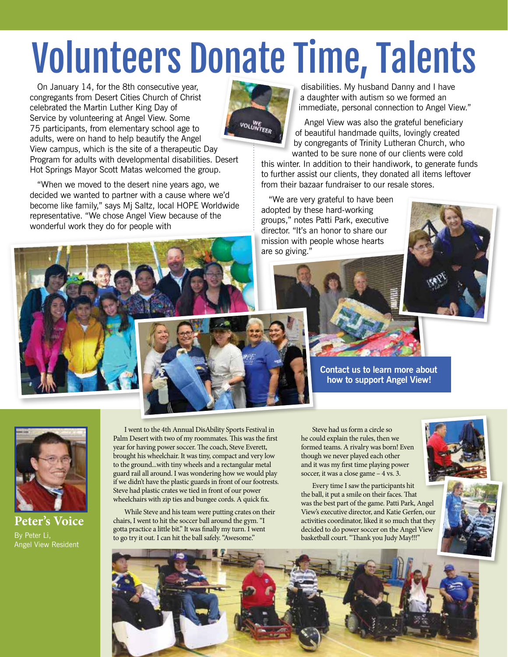# Volunteers Donate Time, Talents

On January 14, for the 8th consecutive year, congregants from Desert Cities Church of Christ celebrated the Martin Luther King Day of Service by volunteering at Angel View. Some 75 participants, from elementary school age to adults, were on hand to help beautify the Angel View campus, which is the site of a therapeutic Day Program for adults with developmental disabilities. Desert Hot Springs Mayor Scott Matas welcomed the group.

"When we moved to the desert nine years ago, we decided we wanted to partner with a cause where we'd become like family," says Mj Saltz, local HOPE Worldwide representative. "We chose Angel View because of the wonderful work they do for people with



disabilities. My husband Danny and I have a daughter with autism so we formed an immediate, personal connection to Angel View."

Angel View was also the grateful beneficiary of beautiful handmade quilts, lovingly created by congregants of Trinity Lutheran Church, who wanted to be sure none of our clients were cold

this winter. In addition to their handiwork, to generate funds to further assist our clients, they donated all items leftover from their bazaar fundraiser to our resale stores.

"We are very grateful to have been adopted by these hard-working groups," notes Patti Park, executive director. "It's an honor to share our mission with people whose hearts are so giving."







**Contact us to learn more about how to support Angel View!**



**Peter's Voice** By Peter Li, Angel View Resident

I went to the 4th Annual DisAbility Sports Festival in Palm Desert with two of my roommates. This was the first year for having power soccer. The coach, Steve Everett, brought his wheelchair. It was tiny, compact and very low to the ground...with tiny wheels and a rectangular metal guard rail all around. I was wondering how we would play if we didn't have the plastic guards in front of our footrests. Steve had plastic crates we tied in front of our power wheelchairs with zip ties and bungee cords. A quick fix.

While Steve and his team were putting crates on their chairs, I went to hit the soccer ball around the gym. "I gotta practice a little bit." It was finally my turn. I went to go try it out. I can hit the ball safely. "Awesome."

Steve had us form a circle so he could explain the rules, then we formed teams. A rivalry was born! Even though we never played each other and it was my first time playing power soccer, it was a close game – 4 vs. 3.

Every time I saw the participants hit the ball, it put a smile on their faces. That was the best part of the game. Patti Park, Angel View's executive director, and Katie Gerfen, our activities coordinator, liked it so much that they decided to do power soccer on the Angel View basketball court. "Thank you Judy May!!!"



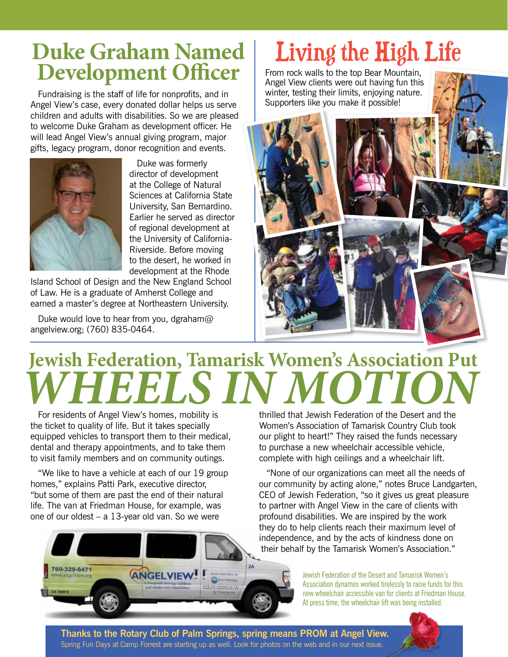# **Duke Graham Named**

Fundraising is the staff of life for nonprofits, and in Angel View's case, every donated dollar helps us serve children and adults with disabilities. So we are pleased to welcome Duke Graham as development officer. He will lead Angel View's annual giving program, major gifts, legacy program, donor recognition and events.



Duke was formerly director of development at the College of Natural Sciences at California State University, San Bernardino. Earlier he served as director of regional development at the University of California-Riverside. Before moving to the desert, he worked in development at the Rhode

Island School of Design and the New England School of Law. He is a graduate of Amherst College and earned a master's degree at Northeastern University.

Duke would love to hear from you, dgraham@ angelview.org; (760) 835-0464.

### Living the High Life

From rock walls to the top Bear Mountain, Angel View clients were out having fun this winter, testing their limits, enjoying nature. Supporters like you make it possible!



## **Jewish Federation, Tamarisk Women's Association Put**  *WHEELS IN MOTION*

For residents of Angel View's homes, mobility is the ticket to quality of life. But it takes specially equipped vehicles to transport them to their medical, dental and therapy appointments, and to take them to visit family members and on community outings.

"We like to have a vehicle at each of our 19 group homes," explains Patti Park, executive director, "but some of them are past the end of their natural life. The van at Friedman House, for example, was one of our oldest  $- a 13$ -year old van. So we were

thrilled that Jewish Federation of the Desert and the Women's Association of Tamarisk Country Club took our plight to heart!" They raised the funds necessary to purchase a new wheelchair accessible vehicle, complete with high ceilings and a wheelchair lift.

"None of our organizations can meet all the needs of our community by acting alone," notes Bruce Landgarten, CEO of Jewish Federation, "so it gives us great pleasure to partner with Angel View in the care of clients with profound disabilities. We are inspired by the work they do to help clients reach their maximum level of independence, and by the acts of kindness done on their behalf by the Tamarisk Women's Association."

> Jewish Federation of the Desert and Tamarisk Women's Association dynamos worked tirelessly to raise funds for this new wheelchair accessible van for clients at Friedman House. At press time, the wheelchair lift was being installed.



**Thanks to the Rotary Club of Palm Springs, spring means PROM at Angel View.** Spring Fun Days at Camp Forrest are starting up as well. Look for photos on the web and in our next issue.